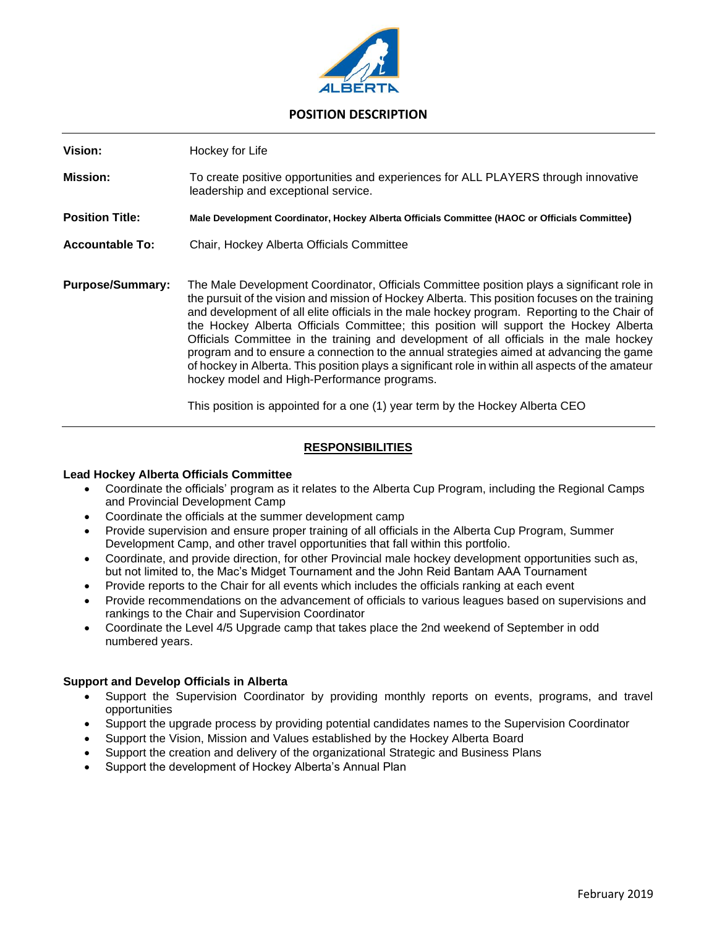

# **POSITION DESCRIPTION**

| Vision:                 | Hockey for Life                                                                                                                                                                                                                                                                                                                                                                                                                                                                                                                                                                                                                                                                                                                 |
|-------------------------|---------------------------------------------------------------------------------------------------------------------------------------------------------------------------------------------------------------------------------------------------------------------------------------------------------------------------------------------------------------------------------------------------------------------------------------------------------------------------------------------------------------------------------------------------------------------------------------------------------------------------------------------------------------------------------------------------------------------------------|
| <b>Mission:</b>         | To create positive opportunities and experiences for ALL PLAYERS through innovative<br>leadership and exceptional service.                                                                                                                                                                                                                                                                                                                                                                                                                                                                                                                                                                                                      |
| <b>Position Title:</b>  | Male Development Coordinator, Hockey Alberta Officials Committee (HAOC or Officials Committee)                                                                                                                                                                                                                                                                                                                                                                                                                                                                                                                                                                                                                                  |
| <b>Accountable To:</b>  | Chair, Hockey Alberta Officials Committee                                                                                                                                                                                                                                                                                                                                                                                                                                                                                                                                                                                                                                                                                       |
| <b>Purpose/Summary:</b> | The Male Development Coordinator, Officials Committee position plays a significant role in<br>the pursuit of the vision and mission of Hockey Alberta. This position focuses on the training<br>and development of all elite officials in the male hockey program. Reporting to the Chair of<br>the Hockey Alberta Officials Committee; this position will support the Hockey Alberta<br>Officials Committee in the training and development of all officials in the male hockey<br>program and to ensure a connection to the annual strategies aimed at advancing the game<br>of hockey in Alberta. This position plays a significant role in within all aspects of the amateur<br>hockey model and High-Performance programs. |

This position is appointed for a one (1) year term by the Hockey Alberta CEO

## **RESPONSIBILITIES**

#### **Lead Hockey Alberta Officials Committee**

- Coordinate the officials' program as it relates to the Alberta Cup Program, including the Regional Camps and Provincial Development Camp
- Coordinate the officials at the summer development camp
- Provide supervision and ensure proper training of all officials in the Alberta Cup Program, Summer Development Camp, and other travel opportunities that fall within this portfolio.
- Coordinate, and provide direction, for other Provincial male hockey development opportunities such as, but not limited to, the Mac's Midget Tournament and the John Reid Bantam AAA Tournament
- Provide reports to the Chair for all events which includes the officials ranking at each event
- Provide recommendations on the advancement of officials to various leagues based on supervisions and rankings to the Chair and Supervision Coordinator
- Coordinate the Level 4/5 Upgrade camp that takes place the 2nd weekend of September in odd numbered years.

#### **Support and Develop Officials in Alberta**

- Support the Supervision Coordinator by providing monthly reports on events, programs, and travel opportunities
- Support the upgrade process by providing potential candidates names to the Supervision Coordinator
- Support the Vision, Mission and Values established by the Hockey Alberta Board
- Support the creation and delivery of the organizational Strategic and Business Plans
- Support the development of Hockey Alberta's Annual Plan